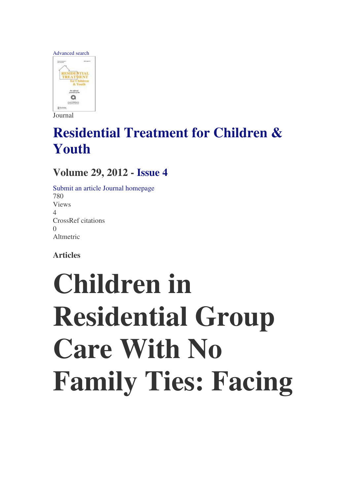

Journal

### **Residential Treatment for Children & Youth**

#### **Volume 29, 2012 - Issue 4**

Submit an article Journal homepage 780 Views 4 CrossRef citations  $\Omega$ Altmetric

**Articles** 

# **Children in Residential Group Care With No Family Ties: Facing**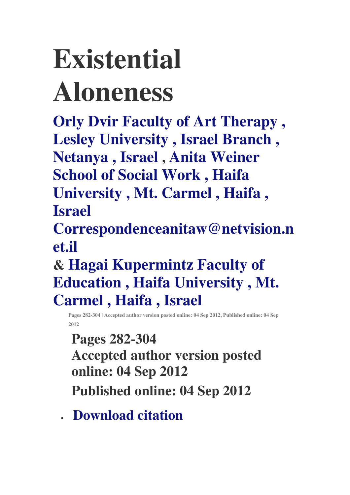# **Existential Aloneness**

**Orly Dvir Faculty of Art Therapy , Lesley University , Israel Branch , Netanya , Israel , Anita Weiner School of Social Work , Haifa University , Mt. Carmel , Haifa , Israel** 

**Correspondenceanitaw@netvision.n et.il** 

**& Hagai Kupermintz Faculty of Education , Haifa University , Mt. Carmel , Haifa , Israel** 

**Pages 282-304 | Accepted author version posted online: 04 Sep 2012, Published online: 04 Sep 2012** 

**Pages 282-304 Accepted author version posted online: 04 Sep 2012 Published online: 04 Sep 2012** 

• **Download citation**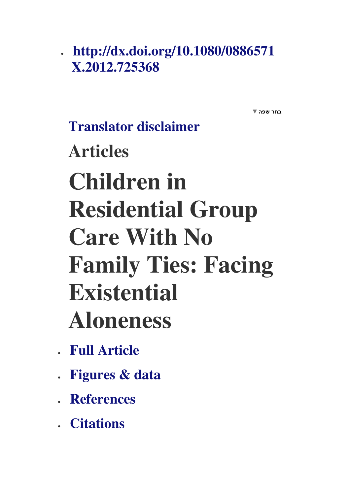### • **http://dx.doi.org/10.1080/0886571 X.2012.725368**

בחר שפה▼

### **Translator disclaimer Articles Children in Residential Group Care With No Family Ties: Facing Existential Aloneness**

- **Full Article**
- **Figures & data**
- **References**
- **Citations**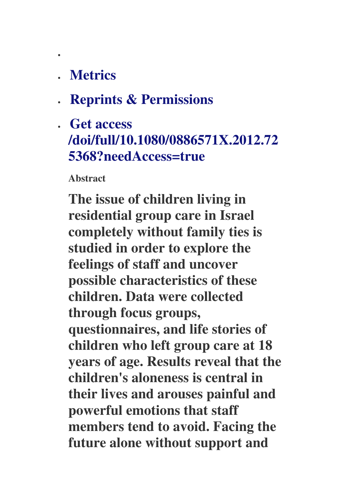### • **Metrics**

•

- **Reprints & Permissions**
- **Get access /doi/full/10.1080/0886571X.2012.72 5368?needAccess=true**

**Abstract** 

**The issue of children living in residential group care in Israel completely without family ties is studied in order to explore the feelings of staff and uncover possible characteristics of these children. Data were collected through focus groups, questionnaires, and life stories of children who left group care at 18 years of age. Results reveal that the children's aloneness is central in their lives and arouses painful and powerful emotions that staff members tend to avoid. Facing the future alone without support and**